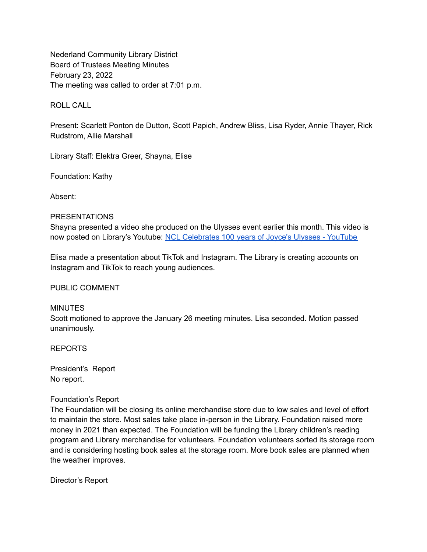Nederland Community Library District Board of Trustees Meeting Minutes February 23, 2022 The meeting was called to order at 7:01 p.m.

ROLL CALL

Present: Scarlett Ponton de Dutton, Scott Papich, Andrew Bliss, Lisa Ryder, Annie Thayer, Rick Rudstrom, Allie Marshall

Library Staff: Elektra Greer, Shayna, Elise

Foundation: Kathy

Absent:

#### PRESENTATIONS

Shayna presented a video she produced on the Ulysses event earlier this month. This video is now posted on Library's Youtube: NCL [Celebrates](https://www.youtube.com/watch?v=eo8OGUEOi64) 100 years of Joyce's Ulysses - YouTube

Elisa made a presentation about TikTok and Instagram. The Library is creating accounts on Instagram and TikTok to reach young audiences.

#### PUBLIC COMMENT

#### **MINUTES**

Scott motioned to approve the January 26 meeting minutes. Lisa seconded. Motion passed unanimously.

REPORTS

President's Report No report.

#### Foundation's Report

The Foundation will be closing its online merchandise store due to low sales and level of effort to maintain the store. Most sales take place in-person in the Library. Foundation raised more money in 2021 than expected. The Foundation will be funding the Library children's reading program and Library merchandise for volunteers. Foundation volunteers sorted its storage room and is considering hosting book sales at the storage room. More book sales are planned when the weather improves.

Director's Report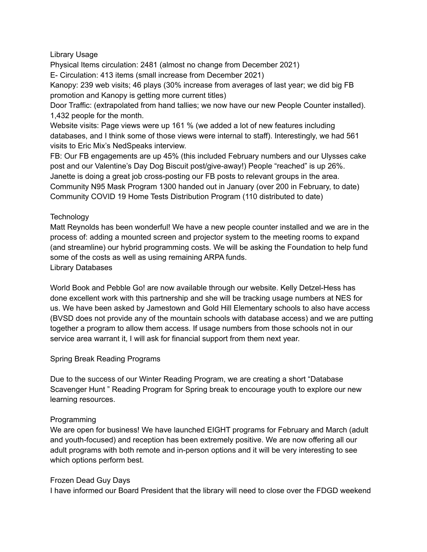### Library Usage

Physical Items circulation: 2481 (almost no change from December 2021)

E- Circulation: 413 items (small increase from December 2021)

Kanopy: 239 web visits; 46 plays (30% increase from averages of last year; we did big FB promotion and Kanopy is getting more current titles)

Door Traffic: (extrapolated from hand tallies; we now have our new People Counter installed). 1,432 people for the month.

Website visits: Page views were up 161 % (we added a lot of new features including databases, and I think some of those views were internal to staff). Interestingly, we had 561 visits to Eric Mix's NedSpeaks interview.

FB: Our FB engagements are up 45% (this included February numbers and our Ulysses cake post and our Valentine's Day Dog Biscuit post/give-away!) People "reached" is up 26%. Janette is doing a great job cross-posting our FB posts to relevant groups in the area. Community N95 Mask Program 1300 handed out in January (over 200 in February, to date) Community COVID 19 Home Tests Distribution Program (110 distributed to date)

## **Technology**

Matt Reynolds has been wonderful! We have a new people counter installed and we are in the process of: adding a mounted screen and projector system to the meeting rooms to expand (and streamline) our hybrid programming costs. We will be asking the Foundation to help fund some of the costs as well as using remaining ARPA funds. Library Databases

World Book and Pebble Go! are now available through our website. Kelly Detzel-Hess has done excellent work with this partnership and she will be tracking usage numbers at NES for us. We have been asked by Jamestown and Gold Hill Elementary schools to also have access (BVSD does not provide any of the mountain schools with database access) and we are putting together a program to allow them access. If usage numbers from those schools not in our service area warrant it, I will ask for financial support from them next year.

## Spring Break Reading Programs

Due to the success of our Winter Reading Program, we are creating a short "Database Scavenger Hunt " Reading Program for Spring break to encourage youth to explore our new learning resources.

## Programming

We are open for business! We have launched EIGHT programs for February and March (adult and youth-focused) and reception has been extremely positive. We are now offering all our adult programs with both remote and in-person options and it will be very interesting to see which options perform best.

### Frozen Dead Guy Days

I have informed our Board President that the library will need to close over the FDGD weekend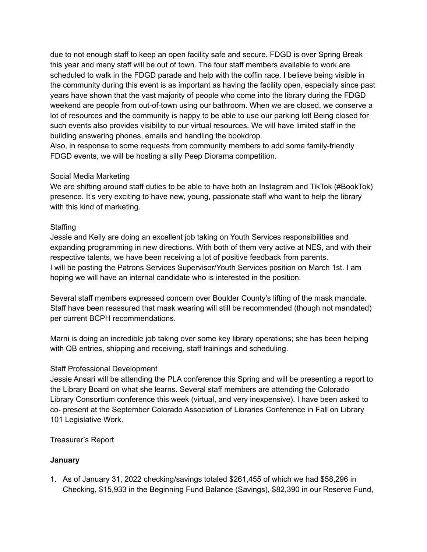due to not enough staff to keep an open facility safe and secure. FDGD is over Spring Break this year and many staff will be out of town. The four staff members available to work are scheduled to walk in the FDGD parade and help with the coffin race. I believe being visible in the community during this event is as important as having the facility open, especially since past years have shown that the vast majority of people who come into the library during the FDGD weekend are people from out-of-town using our bathroom. When we are closed, we conserve a lot of resources and the community is happy to be able to use our parking lot! Being closed for such events also provides visibility to our virtual resources. We will have limited staff in the building answering phones, emails and handling the bookdrop.

Also, in response to some requests from community members to add some family-friendly FDGD events, we will be hosting a silly Peep Diorama competition.

### Social Media Marketing

We are shifting around staff duties to be able to have both an Instagram and TikTok (#BookTok) presence. It's very exciting to have new, young, passionate staff who want to help the library with this kind of marketing.

### **Staffing**

Jessie and Kelly are doing an excellent job taking on Youth Services responsibilities and expanding programming in new directions. With both of them very active at NES, and with their respective talents, we have been receiving a lot of positive feedback from parents. I will be posting the Patrons Services Supervisor/Youth Services position on March 1st. I am hoping we will have an internal candidate who is interested in the position.

Several staff members expressed concern over Boulder County's lifting of the mask mandate. Staff have been reassured that mask wearing will still be recommended (though not mandated) per current BCPH recommendations.

Marni is doing an incredible job taking over some key library operations; she has been helping with QB entries, shipping and receiving, staff trainings and scheduling.

## Staff Professional Development

Jessie Ansari will be attending the PLA conference this Spring and will be presenting a report to the Library Board on what she learns. Several staff members are attending the Colorado Library Consortium conference this week (virtual, and very inexpensive). I have been asked to co- present at the September Colorado Association of Libraries Conference in Fall on Library 101 Legislative Work.

Treasurer's Report

## **January**

1. As of January 31, 2022 checking/savings totaled \$261,455 of which we had \$58,296 in Checking, \$15,933 in the Beginning Fund Balance (Savings), \$82,390 in our Reserve Fund,